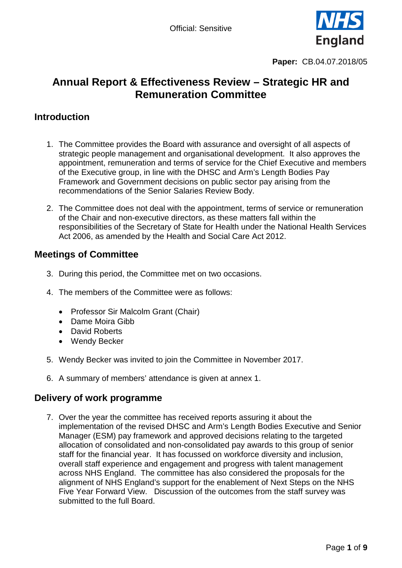

# **Annual Report & Effectiveness Review – Strategic HR and Remuneration Committee**

# **Introduction**

- 1. The Committee provides the Board with assurance and oversight of all aspects of strategic people management and organisational development. It also approves the appointment, remuneration and terms of service for the Chief Executive and members of the Executive group, in line with the DHSC and Arm's Length Bodies Pay Framework and Government decisions on public sector pay arising from the recommendations of the Senior Salaries Review Body.
- 2. The Committee does not deal with the appointment, terms of service or remuneration of the Chair and non-executive directors, as these matters fall within the responsibilities of the Secretary of State for Health under the National Health Services Act 2006, as amended by the Health and Social Care Act 2012.

# **Meetings of Committee**

- 3. During this period, the Committee met on two occasions.
- 4. The members of the Committee were as follows:
	- Professor Sir Malcolm Grant (Chair)
	- Dame Moira Gibb
	- David Roberts
	- Wendy Becker
- 5. Wendy Becker was invited to join the Committee in November 2017.
- 6. A summary of members' attendance is given at annex 1.

## **Delivery of work programme**

7. Over the year the committee has received reports assuring it about the implementation of the revised DHSC and Arm's Length Bodies Executive and Senior Manager (ESM) pay framework and approved decisions relating to the targeted allocation of consolidated and non-consolidated pay awards to this group of senior staff for the financial year. It has focussed on workforce diversity and inclusion, overall staff experience and engagement and progress with talent management across NHS England. The committee has also considered the proposals for the alignment of NHS England's support for the enablement of Next Steps on the NHS Five Year Forward View. Discussion of the outcomes from the staff survey was submitted to the full Board.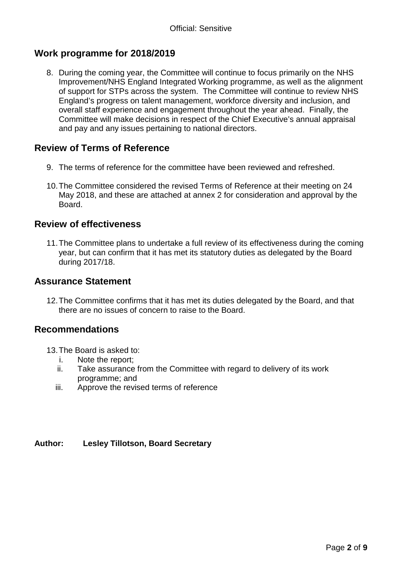# **Work programme for 2018/2019**

8. During the coming year, the Committee will continue to focus primarily on the NHS Improvement/NHS England Integrated Working programme, as well as the alignment of support for STPs across the system. The Committee will continue to review NHS England's progress on talent management, workforce diversity and inclusion, and overall staff experience and engagement throughout the year ahead. Finally, the Committee will make decisions in respect of the Chief Executive's annual appraisal and pay and any issues pertaining to national directors.

# **Review of Terms of Reference**

- 9. The terms of reference for the committee have been reviewed and refreshed.
- 10.The Committee considered the revised Terms of Reference at their meeting on 24 May 2018, and these are attached at annex 2 for consideration and approval by the Board.

## **Review of effectiveness**

11.The Committee plans to undertake a full review of its effectiveness during the coming year, but can confirm that it has met its statutory duties as delegated by the Board during 2017/18.

### **Assurance Statement**

12.The Committee confirms that it has met its duties delegated by the Board, and that there are no issues of concern to raise to the Board.

#### **Recommendations**

- 13.The Board is asked to:
	- i. Note the report;
	- ii. Take assurance from the Committee with regard to delivery of its work programme; and
	- iii. Approve the revised terms of reference

#### **Author: Lesley Tillotson, Board Secretary**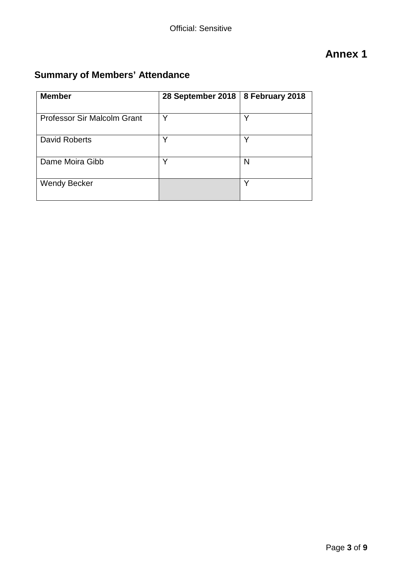# **Annex 1**

# **Summary of Members' Attendance**

| <b>Member</b>                      | 28 September 2018 | 8 February 2018 |
|------------------------------------|-------------------|-----------------|
| <b>Professor Sir Malcolm Grant</b> | ∨                 | v               |
| David Roberts                      | v                 | v               |
| Dame Moira Gibb                    |                   | N               |
| <b>Wendy Becker</b>                |                   | ◡               |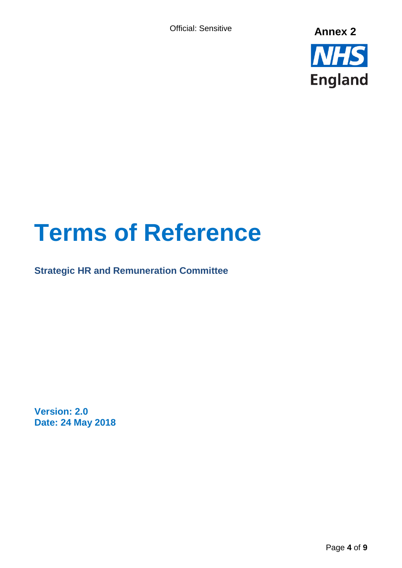Official: Sensitive



# **Terms of Reference**

**Strategic HR and Remuneration Committee** 

**Version: 2.0 Date: 24 May 2018**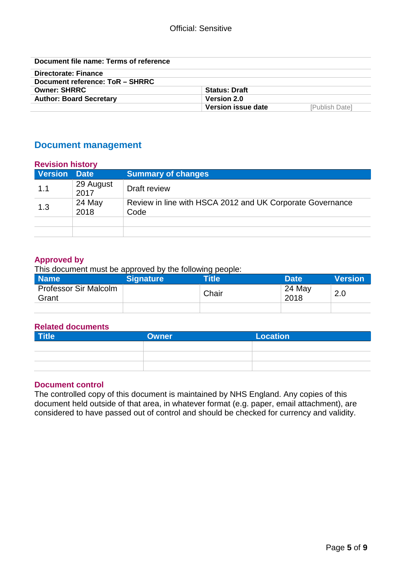| Document file name: Terms of reference |                      |                       |
|----------------------------------------|----------------------|-----------------------|
| Directorate: Finance                   |                      |                       |
| Document reference: ToR - SHRRC        |                      |                       |
| <b>Owner: SHRRC</b>                    | <b>Status: Draft</b> |                       |
| <b>Author: Board Secretary</b>         | <b>Version 2.0</b>   |                       |
|                                        | Version issue date   | <b>[Publish Date]</b> |

# **Document management**

| <b>Revision history</b><br>Version Date |                   | <b>Summary of changes</b>                                         |
|-----------------------------------------|-------------------|-------------------------------------------------------------------|
| 1.1                                     | 29 August<br>2017 | Draft review                                                      |
| 1.3                                     | 24 May<br>2018    | Review in line with HSCA 2012 and UK Corporate Governance<br>Code |
|                                         |                   |                                                                   |

#### **Approved by**

This document must be approved by the following people:

| <b>Name</b>                           | Signature | . .<br><b>Title</b> | Date <sup>1</sup> | <b>Nersion</b> |
|---------------------------------------|-----------|---------------------|-------------------|----------------|
| <b>Professor Sir Malcolm</b><br>Grant |           | Chair               | 24 May<br>2018    | 2.0            |
|                                       |           |                     |                   |                |

#### **Related documents**

| <b>Title</b> | <b>Owner</b> | <b>Location</b> |
|--------------|--------------|-----------------|
|              |              |                 |
|              |              |                 |
|              |              |                 |

#### **Document control**

The controlled copy of this document is maintained by NHS England. Any copies of this document held outside of that area, in whatever format (e.g. paper, email attachment), are considered to have passed out of control and should be checked for currency and validity.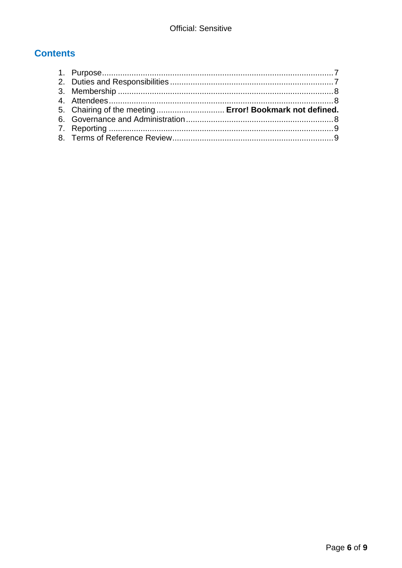# **Contents**

| 5. Chairing of the meeting  Error! Bookmark not defined. |  |
|----------------------------------------------------------|--|
|                                                          |  |
|                                                          |  |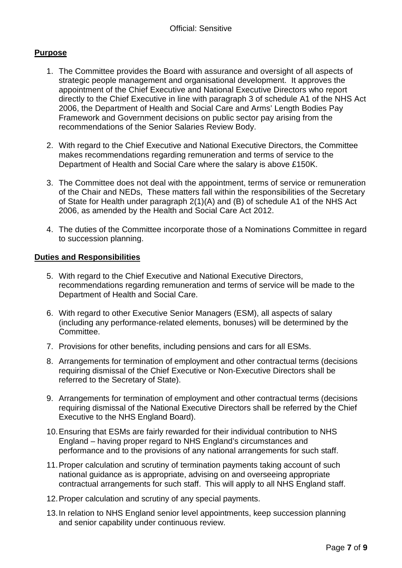#### <span id="page-6-0"></span>**Purpose**

- 1. The Committee provides the Board with assurance and oversight of all aspects of strategic people management and organisational development. It approves the appointment of the Chief Executive and National Executive Directors who report directly to the Chief Executive in line with paragraph 3 of schedule A1 of the NHS Act 2006, the Department of Health and Social Care and Arms' Length Bodies Pay Framework and Government decisions on public sector pay arising from the recommendations of the Senior Salaries Review Body.
- 2. With regard to the Chief Executive and National Executive Directors, the Committee makes recommendations regarding remuneration and terms of service to the Department of Health and Social Care where the salary is above £150K.
- 3. The Committee does not deal with the appointment, terms of service or remuneration of the Chair and NEDs, These matters fall within the responsibilities of the Secretary of State for Health under paragraph 2(1)(A) and (B) of schedule A1 of the NHS Act 2006, as amended by the Health and Social Care Act 2012.
- 4. The duties of the Committee incorporate those of a Nominations Committee in regard to succession planning.

#### <span id="page-6-1"></span>**Duties and Responsibilities**

- 5. With regard to the Chief Executive and National Executive Directors, recommendations regarding remuneration and terms of service will be made to the Department of Health and Social Care.
- 6. With regard to other Executive Senior Managers (ESM), all aspects of salary (including any performance-related elements, bonuses) will be determined by the Committee.
- 7. Provisions for other benefits, including pensions and cars for all ESMs.
- 8. Arrangements for termination of employment and other contractual terms (decisions requiring dismissal of the Chief Executive or Non-Executive Directors shall be referred to the Secretary of State).
- 9. Arrangements for termination of employment and other contractual terms (decisions requiring dismissal of the National Executive Directors shall be referred by the Chief Executive to the NHS England Board).
- 10.Ensuring that ESMs are fairly rewarded for their individual contribution to NHS England – having proper regard to NHS England's circumstances and performance and to the provisions of any national arrangements for such staff.
- 11.Proper calculation and scrutiny of termination payments taking account of such national guidance as is appropriate, advising on and overseeing appropriate contractual arrangements for such staff. This will apply to all NHS England staff.
- 12.Proper calculation and scrutiny of any special payments.
- 13.In relation to NHS England senior level appointments, keep succession planning and senior capability under continuous review.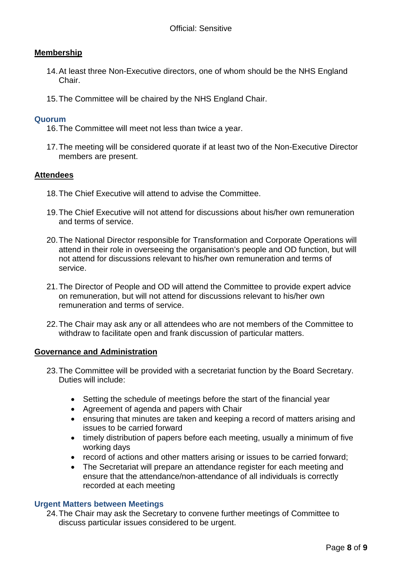#### <span id="page-7-0"></span>**Membership**

- 14.At least three Non-Executive directors, one of whom should be the NHS England Chair.
- 15.The Committee will be chaired by the NHS England Chair.

#### **Quorum**

- 16.The Committee will meet not less than twice a year.
- 17.The meeting will be considered quorate if at least two of the Non-Executive Director members are present.

#### <span id="page-7-1"></span>**Attendees**

- 18.The Chief Executive will attend to advise the Committee.
- 19.The Chief Executive will not attend for discussions about his/her own remuneration and terms of service.
- 20.The National Director responsible for Transformation and Corporate Operations will attend in their role in overseeing the organisation's people and OD function, but will not attend for discussions relevant to his/her own remuneration and terms of service.
- 21.The Director of People and OD will attend the Committee to provide expert advice on remuneration, but will not attend for discussions relevant to his/her own remuneration and terms of service.
- 22.The Chair may ask any or all attendees who are not members of the Committee to withdraw to facilitate open and frank discussion of particular matters.

#### <span id="page-7-2"></span>**Governance and Administration**

- 23.The Committee will be provided with a secretariat function by the Board Secretary. Duties will include:
	- Setting the schedule of meetings before the start of the financial year
	- Agreement of agenda and papers with Chair
	- ensuring that minutes are taken and keeping a record of matters arising and issues to be carried forward
	- timely distribution of papers before each meeting, usually a minimum of five working days
	- record of actions and other matters arising or issues to be carried forward;
	- The Secretariat will prepare an attendance register for each meeting and ensure that the attendance/non-attendance of all individuals is correctly recorded at each meeting

#### **Urgent Matters between Meetings**

24.The Chair may ask the Secretary to convene further meetings of Committee to discuss particular issues considered to be urgent.